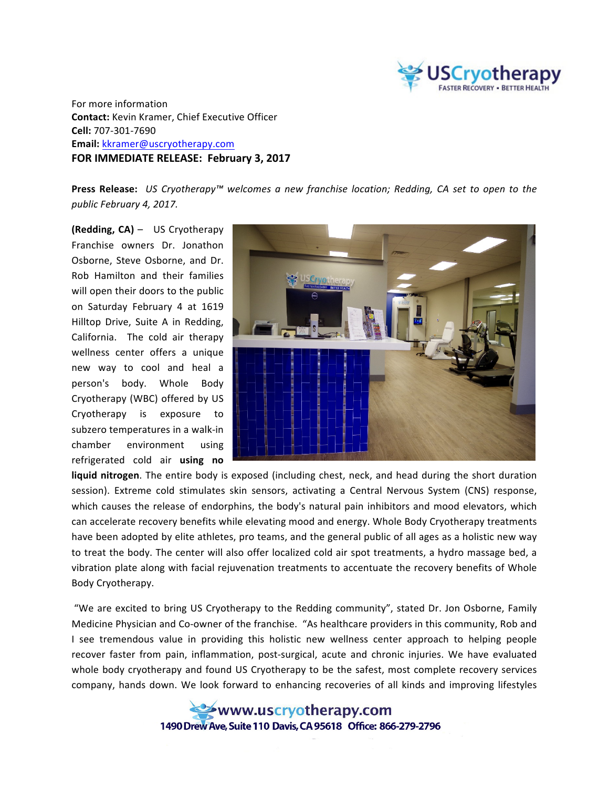

For more information **Contact:** Kevin Kramer, Chief Executive Officer **Cell:** 707-301-7690 **Email:** kkramer@uscryotherapy.com **FOR IMMEDIATE RELEASE: February 3, 2017** 

**Press Release:** US Cryotherapy™ welcomes a new franchise location; Redding, CA set to open to the *public February 4, 2017.*

**(Redding, CA)** – US Cryotherapy Franchise owners Dr. Jonathon Osborne, Steve Osborne, and Dr. Rob Hamilton and their families will open their doors to the public on Saturday February 4 at 1619 Hilltop Drive, Suite A in Redding, California. The cold air therapy wellness center offers a unique new way to cool and heal a person's body. Whole Body Cryotherapy (WBC) offered by US Cryotherapy is exposure to subzero temperatures in a walk-in chamber environment using refrigerated cold air **using no** 



liquid nitrogen. The entire body is exposed (including chest, neck, and head during the short duration session). Extreme cold stimulates skin sensors, activating a Central Nervous System (CNS) response, which causes the release of endorphins, the body's natural pain inhibitors and mood elevators, which can accelerate recovery benefits while elevating mood and energy. Whole Body Cryotherapy treatments have been adopted by elite athletes, pro teams, and the general public of all ages as a holistic new way to treat the body. The center will also offer localized cold air spot treatments, a hydro massage bed, a vibration plate along with facial rejuvenation treatments to accentuate the recovery benefits of Whole Body Cryotherapy.

"We are excited to bring US Cryotherapy to the Redding community", stated Dr. Jon Osborne, Family Medicine Physician and Co-owner of the franchise. "As healthcare providers in this community, Rob and I see tremendous value in providing this holistic new wellness center approach to helping people recover faster from pain, inflammation, post-surgical, acute and chronic injuries. We have evaluated whole body cryotherapy and found US Cryotherapy to be the safest, most complete recovery services company, hands down. We look forward to enhancing recoveries of all kinds and improving lifestyles

> www.uscryotherapy.com 1490 Drew Ave. Suite 110 Davis. CA 95618 Office: 866-279-2796